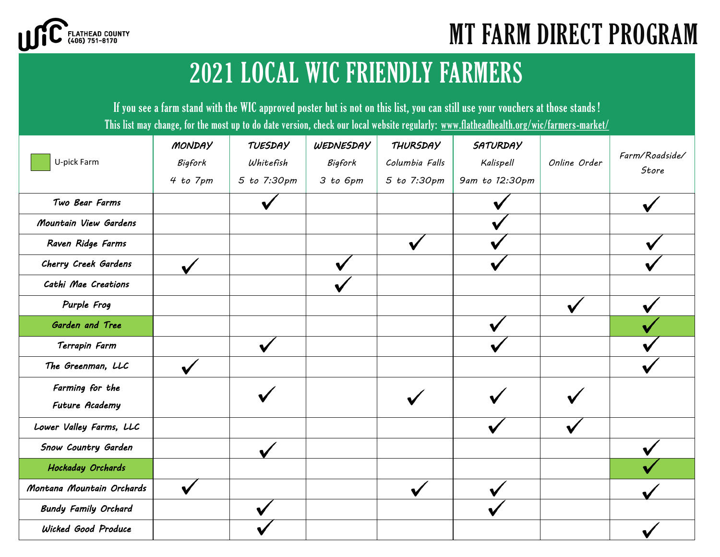

# MT FARM DIRECT PROGRAM

### 2021 LOCAL WIC FRIENDLY FARMERS

If you see a farm stand with the WIC approved poster but is not on this list, you can still use your vouchers at those stands ! This list may change, for the most up to do date version, check our local website regularly: www.flatheadhealth.org/wic/farmers-market/

|                             | MONDAY       | <b>TUESDAY</b> | WEDNESDAY | <b>THURSDAY</b> | <b>SATURDAY</b> |              |                         |
|-----------------------------|--------------|----------------|-----------|-----------------|-----------------|--------------|-------------------------|
| U-pick Farm                 | Bigfork      | Whitefish      | Bigfork   | Columbia Falls  | Kalispell       | Online Order | Farm/Roadside/<br>Store |
|                             | 4 to 7pm     | 5 to 7:30pm    | 3 to 6pm  | 5 to 7:30pm     | 9am to 12:30pm  |              |                         |
| Two Bear Farms              |              |                |           |                 |                 |              |                         |
| Mountain View Gardens       |              |                |           |                 |                 |              |                         |
| Raven Ridge Farms           |              |                |           |                 |                 |              |                         |
| Cherry Creek Gardens        | $\checkmark$ |                |           |                 |                 |              |                         |
| Cathi Mae Creations         |              |                |           |                 |                 |              |                         |
| Purple Frog                 |              |                |           |                 |                 |              |                         |
| Garden and Tree             |              |                |           |                 |                 |              |                         |
| Terrapin Farm               |              |                |           |                 |                 |              |                         |
| The Greenman, LLC           |              |                |           |                 |                 |              |                         |
| Farming for the             |              |                |           |                 |                 |              |                         |
| Future Academy              |              |                |           |                 |                 |              |                         |
| Lower Valley Farms, LLC     |              |                |           |                 |                 |              |                         |
| Snow Country Garden         |              |                |           |                 |                 |              |                         |
| Hockaday Orchards           |              |                |           |                 |                 |              |                         |
| Montana Mountain Orchards   |              |                |           |                 |                 |              |                         |
| <b>Bundy Family Orchard</b> |              |                |           |                 |                 |              |                         |
| Wicked Good Produce         |              |                |           |                 |                 |              |                         |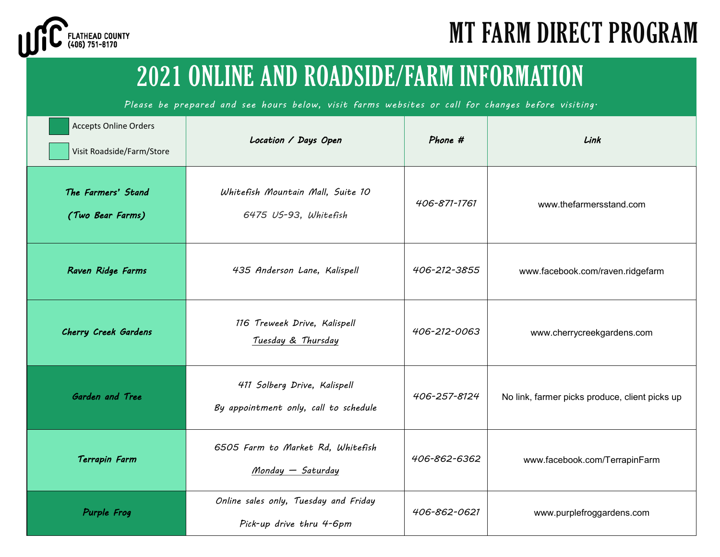

### 2021 ONLINE AND ROADSIDE/FARM INFORMATION

*Please be prepared and see hours below, visit farms websites or call for changes before visiting.*

| <b>Accepts Online Orders</b><br>Visit Roadside/Farm/Store | Location / Days Open                                                  | Phone #      | Link                                           |  |
|-----------------------------------------------------------|-----------------------------------------------------------------------|--------------|------------------------------------------------|--|
| The Farmers' Stand<br>(Two Bear Farms)                    | Whitefish Mountain Mall, Suite 10<br>6475 US-93, Whitefish            | 406-871-1761 | www.thefarmersstand.com                        |  |
| Raven Ridge Farms                                         | 435 Anderson Lane, Kalispell                                          | 406-212-3855 | www.facebook.com/raven.ridgefarm               |  |
| Cherry Creek Gardens                                      | 116 Treweek Drive, Kalispell<br>Tuesday & Thursday                    | 406-212-0063 | www.cherrycreekgardens.com                     |  |
| Garden and Tree                                           | 411 Solberg Drive, Kalispell<br>By appointment only, call to schedule | 406-257-8124 | No link, farmer picks produce, client picks up |  |
| Terrapin Farm                                             | 6505 Farm to Market Rd, Whitefish<br>Monday - Saturday                | 406-862-6362 | www.facebook.com/TerrapinFarm                  |  |
| Purple Frog                                               | Online sales only, Tuesday and Friday<br>Pick-up drive thru 4-6pm     | 406-862-0621 | www.purplefroggardens.com                      |  |